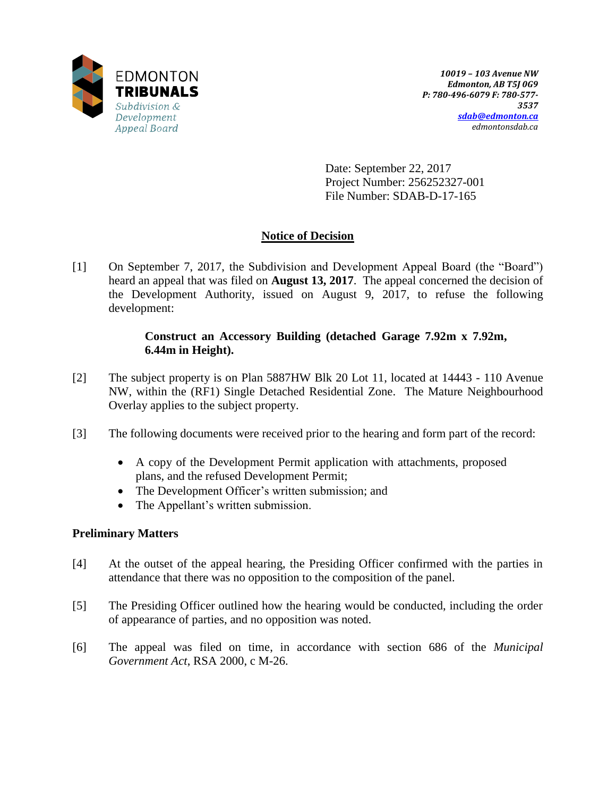

Date: September 22, 2017 Project Number: 256252327-001 File Number: SDAB-D-17-165

# **Notice of Decision**

[1] On September 7, 2017, the Subdivision and Development Appeal Board (the "Board") heard an appeal that was filed on **August 13, 2017**. The appeal concerned the decision of the Development Authority, issued on August 9, 2017, to refuse the following development:

## **Construct an Accessory Building (detached Garage 7.92m x 7.92m, 6.44m in Height).**

- [2] The subject property is on Plan 5887HW Blk 20 Lot 11, located at 14443 110 Avenue NW, within the (RF1) Single Detached Residential Zone. The Mature Neighbourhood Overlay applies to the subject property.
- [3] The following documents were received prior to the hearing and form part of the record:
	- A copy of the Development Permit application with attachments, proposed plans, and the refused Development Permit;
	- The Development Officer's written submission; and
	- The Appellant's written submission.

## **Preliminary Matters**

- [4] At the outset of the appeal hearing, the Presiding Officer confirmed with the parties in attendance that there was no opposition to the composition of the panel.
- [5] The Presiding Officer outlined how the hearing would be conducted, including the order of appearance of parties, and no opposition was noted.
- [6] The appeal was filed on time, in accordance with section 686 of the *Municipal Government Act*, RSA 2000, c M-26.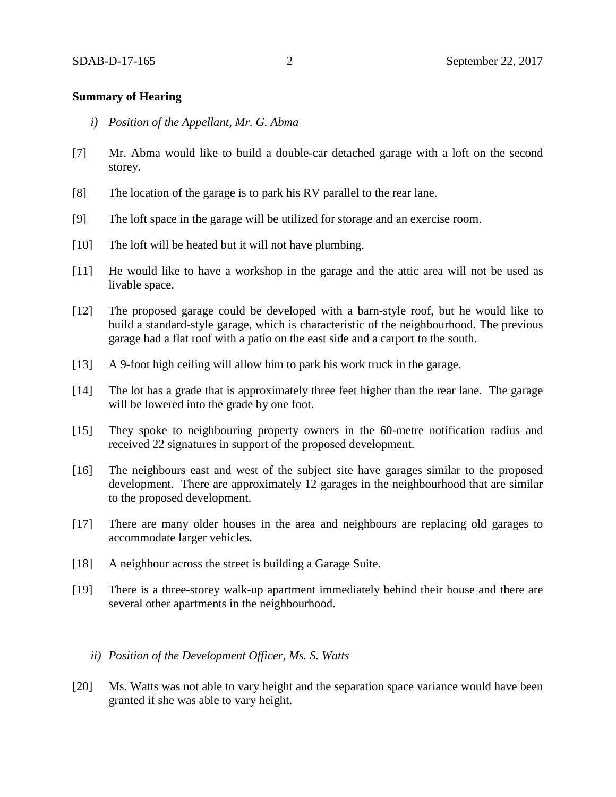### **Summary of Hearing**

- *i) Position of the Appellant, Mr. G. Abma*
- [7] Mr. Abma would like to build a double-car detached garage with a loft on the second storey.
- [8] The location of the garage is to park his RV parallel to the rear lane.
- [9] The loft space in the garage will be utilized for storage and an exercise room.
- [10] The loft will be heated but it will not have plumbing.
- [11] He would like to have a workshop in the garage and the attic area will not be used as livable space.
- [12] The proposed garage could be developed with a barn-style roof, but he would like to build a standard-style garage, which is characteristic of the neighbourhood. The previous garage had a flat roof with a patio on the east side and a carport to the south.
- [13] A 9-foot high ceiling will allow him to park his work truck in the garage.
- [14] The lot has a grade that is approximately three feet higher than the rear lane. The garage will be lowered into the grade by one foot.
- [15] They spoke to neighbouring property owners in the 60-metre notification radius and received 22 signatures in support of the proposed development.
- [16] The neighbours east and west of the subject site have garages similar to the proposed development. There are approximately 12 garages in the neighbourhood that are similar to the proposed development.
- [17] There are many older houses in the area and neighbours are replacing old garages to accommodate larger vehicles.
- [18] A neighbour across the street is building a Garage Suite.
- [19] There is a three-storey walk-up apartment immediately behind their house and there are several other apartments in the neighbourhood.

### *ii) Position of the Development Officer, Ms. S. Watts*

[20] Ms. Watts was not able to vary height and the separation space variance would have been granted if she was able to vary height.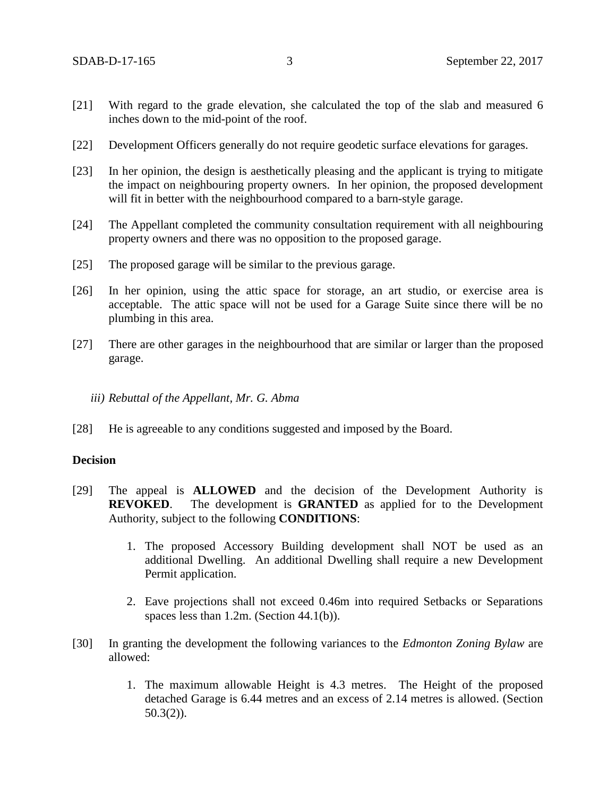- [21] With regard to the grade elevation, she calculated the top of the slab and measured 6 inches down to the mid-point of the roof.
- [22] Development Officers generally do not require geodetic surface elevations for garages.
- [23] In her opinion, the design is aesthetically pleasing and the applicant is trying to mitigate the impact on neighbouring property owners. In her opinion, the proposed development will fit in better with the neighbourhood compared to a barn-style garage.
- [24] The Appellant completed the community consultation requirement with all neighbouring property owners and there was no opposition to the proposed garage.
- [25] The proposed garage will be similar to the previous garage.
- [26] In her opinion, using the attic space for storage, an art studio, or exercise area is acceptable. The attic space will not be used for a Garage Suite since there will be no plumbing in this area.
- [27] There are other garages in the neighbourhood that are similar or larger than the proposed garage.
	- *iii) Rebuttal of the Appellant, Mr. G. Abma*
- [28] He is agreeable to any conditions suggested and imposed by the Board.

### **Decision**

- [29] The appeal is **ALLOWED** and the decision of the Development Authority is **REVOKED**. The development is **GRANTED** as applied for to the Development Authority, subject to the following **CONDITIONS**:
	- 1. The proposed Accessory Building development shall NOT be used as an additional Dwelling. An additional Dwelling shall require a new Development Permit application.
	- 2. Eave projections shall not exceed 0.46m into required Setbacks or Separations spaces less than 1.2m. (Section 44.1(b)).
- [30] In granting the development the following variances to the *Edmonton Zoning Bylaw* are allowed:
	- 1. The maximum allowable Height is 4.3 metres. The Height of the proposed detached Garage is 6.44 metres and an excess of 2.14 metres is allowed. (Section 50.3(2)).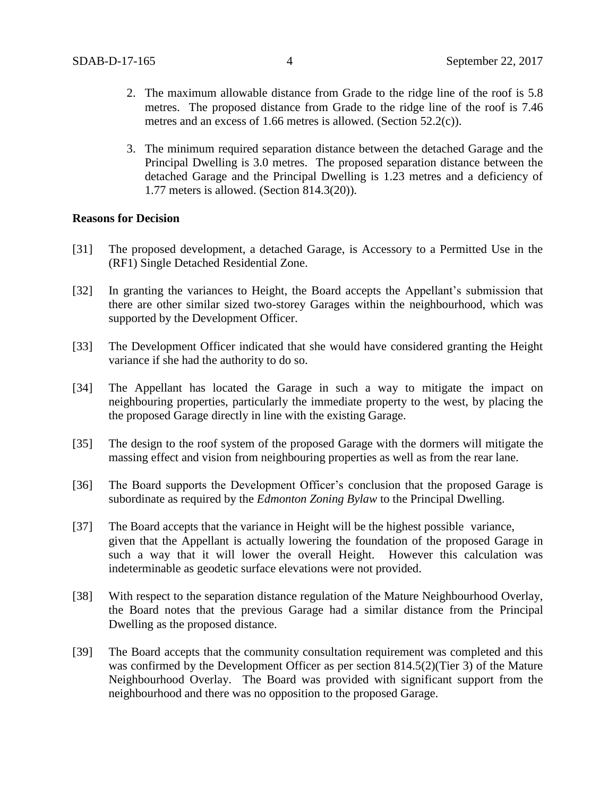- 2. The maximum allowable distance from Grade to the ridge line of the roof is 5.8 metres. The proposed distance from Grade to the ridge line of the roof is 7.46 metres and an excess of 1.66 metres is allowed. (Section 52.2(c)).
- 3. The minimum required separation distance between the detached Garage and the Principal Dwelling is 3.0 metres. The proposed separation distance between the detached Garage and the Principal Dwelling is 1.23 metres and a deficiency of 1.77 meters is allowed. (Section 814.3(20)).

### **Reasons for Decision**

- [31] The proposed development, a detached Garage, is Accessory to a Permitted Use in the (RF1) Single Detached Residential Zone.
- [32] In granting the variances to Height, the Board accepts the Appellant's submission that there are other similar sized two-storey Garages within the neighbourhood, which was supported by the Development Officer.
- [33] The Development Officer indicated that she would have considered granting the Height variance if she had the authority to do so.
- [34] The Appellant has located the Garage in such a way to mitigate the impact on neighbouring properties, particularly the immediate property to the west, by placing the the proposed Garage directly in line with the existing Garage.
- [35] The design to the roof system of the proposed Garage with the dormers will mitigate the massing effect and vision from neighbouring properties as well as from the rear lane.
- [36] The Board supports the Development Officer's conclusion that the proposed Garage is subordinate as required by the *Edmonton Zoning Bylaw* to the Principal Dwelling.
- [37] The Board accepts that the variance in Height will be the highest possible variance, given that the Appellant is actually lowering the foundation of the proposed Garage in such a way that it will lower the overall Height. However this calculation was indeterminable as geodetic surface elevations were not provided.
- [38] With respect to the separation distance regulation of the Mature Neighbourhood Overlay, the Board notes that the previous Garage had a similar distance from the Principal Dwelling as the proposed distance.
- [39] The Board accepts that the community consultation requirement was completed and this was confirmed by the Development Officer as per section 814.5(2)(Tier 3) of the Mature Neighbourhood Overlay. The Board was provided with significant support from the neighbourhood and there was no opposition to the proposed Garage.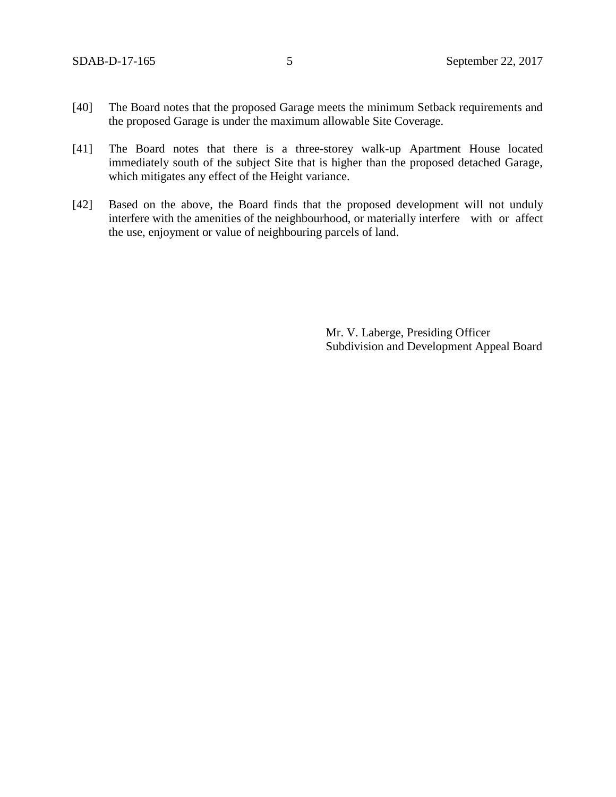- [40] The Board notes that the proposed Garage meets the minimum Setback requirements and the proposed Garage is under the maximum allowable Site Coverage.
- [41] The Board notes that there is a three-storey walk-up Apartment House located immediately south of the subject Site that is higher than the proposed detached Garage, which mitigates any effect of the Height variance.
- [42] Based on the above, the Board finds that the proposed development will not unduly interfere with the amenities of the neighbourhood, or materially interfere with or affect the use, enjoyment or value of neighbouring parcels of land.

Mr. V. Laberge, Presiding Officer Subdivision and Development Appeal Board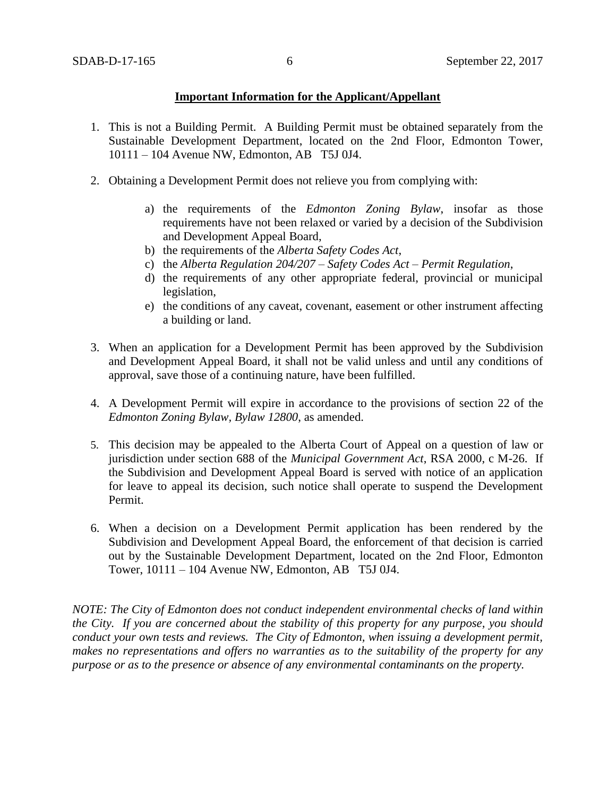## **Important Information for the Applicant/Appellant**

- 1. This is not a Building Permit. A Building Permit must be obtained separately from the Sustainable Development Department, located on the 2nd Floor, Edmonton Tower, 10111 – 104 Avenue NW, Edmonton, AB T5J 0J4.
- 2. Obtaining a Development Permit does not relieve you from complying with:
	- a) the requirements of the *Edmonton Zoning Bylaw*, insofar as those requirements have not been relaxed or varied by a decision of the Subdivision and Development Appeal Board,
	- b) the requirements of the *Alberta Safety Codes Act*,
	- c) the *Alberta Regulation 204/207 – Safety Codes Act – Permit Regulation*,
	- d) the requirements of any other appropriate federal, provincial or municipal legislation,
	- e) the conditions of any caveat, covenant, easement or other instrument affecting a building or land.
- 3. When an application for a Development Permit has been approved by the Subdivision and Development Appeal Board, it shall not be valid unless and until any conditions of approval, save those of a continuing nature, have been fulfilled.
- 4. A Development Permit will expire in accordance to the provisions of section 22 of the *Edmonton Zoning Bylaw, Bylaw 12800*, as amended.
- 5. This decision may be appealed to the Alberta Court of Appeal on a question of law or jurisdiction under section 688 of the *Municipal Government Act*, RSA 2000, c M-26. If the Subdivision and Development Appeal Board is served with notice of an application for leave to appeal its decision, such notice shall operate to suspend the Development Permit.
- 6. When a decision on a Development Permit application has been rendered by the Subdivision and Development Appeal Board, the enforcement of that decision is carried out by the Sustainable Development Department, located on the 2nd Floor, Edmonton Tower, 10111 – 104 Avenue NW, Edmonton, AB T5J 0J4.

*NOTE: The City of Edmonton does not conduct independent environmental checks of land within the City. If you are concerned about the stability of this property for any purpose, you should conduct your own tests and reviews. The City of Edmonton, when issuing a development permit, makes no representations and offers no warranties as to the suitability of the property for any purpose or as to the presence or absence of any environmental contaminants on the property.*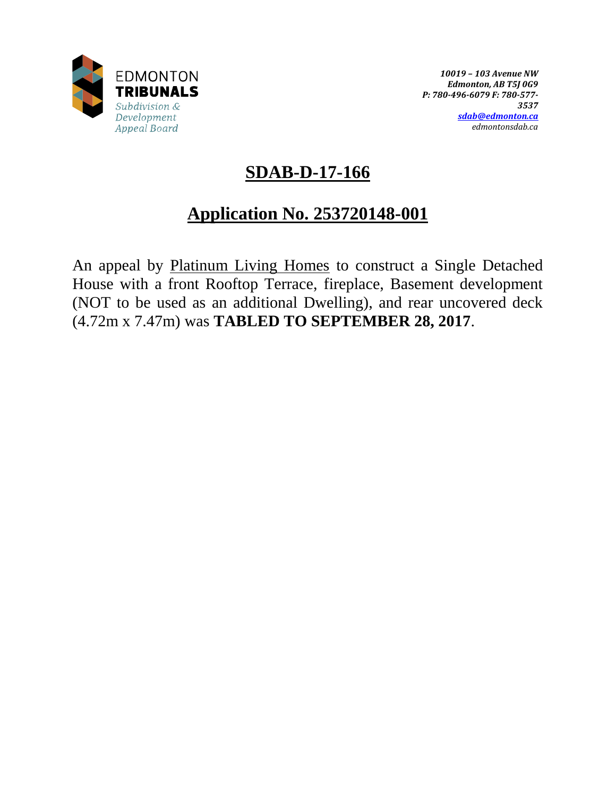

# **SDAB-D-17-166**

# **Application No. 253720148-001**

An appeal by Platinum Living Homes to construct a Single Detached House with a front Rooftop Terrace, fireplace, Basement development (NOT to be used as an additional Dwelling), and rear uncovered deck (4.72m x 7.47m) was **TABLED TO SEPTEMBER 28, 2017**.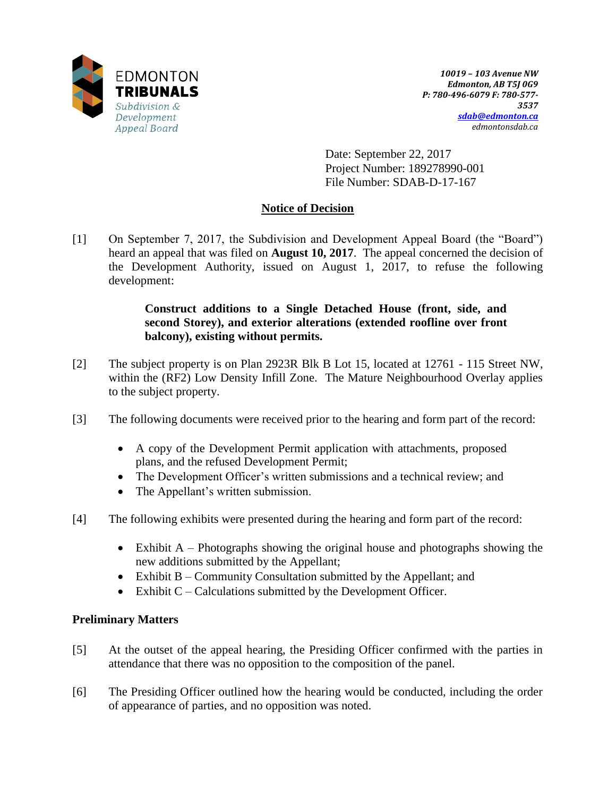

Date: September 22, 2017 Project Number: 189278990-001 File Number: SDAB-D-17-167

# **Notice of Decision**

[1] On September 7, 2017, the Subdivision and Development Appeal Board (the "Board") heard an appeal that was filed on **August 10, 2017**. The appeal concerned the decision of the Development Authority, issued on August 1, 2017, to refuse the following development:

## **Construct additions to a Single Detached House (front, side, and second Storey), and exterior alterations (extended roofline over front balcony), existing without permits.**

- [2] The subject property is on Plan 2923R Blk B Lot 15, located at 12761 115 Street NW, within the (RF2) Low Density Infill Zone. The Mature Neighbourhood Overlay applies to the subject property.
- [3] The following documents were received prior to the hearing and form part of the record:
	- A copy of the Development Permit application with attachments, proposed plans, and the refused Development Permit;
	- The Development Officer's written submissions and a technical review; and
	- The Appellant's written submission.
- [4] The following exhibits were presented during the hearing and form part of the record:
	- Exhibit  $A$  Photographs showing the original house and photographs showing the new additions submitted by the Appellant;
	- Exhibit B Community Consultation submitted by the Appellant; and
	- $\bullet$  Exhibit C Calculations submitted by the Development Officer.

## **Preliminary Matters**

- [5] At the outset of the appeal hearing, the Presiding Officer confirmed with the parties in attendance that there was no opposition to the composition of the panel.
- [6] The Presiding Officer outlined how the hearing would be conducted, including the order of appearance of parties, and no opposition was noted.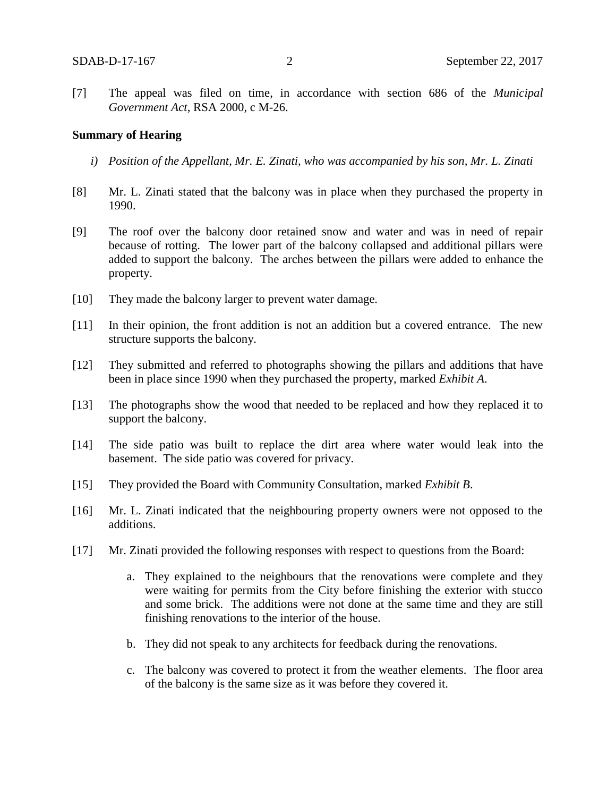[7] The appeal was filed on time, in accordance with section 686 of the *Municipal Government Act*, RSA 2000, c M-26.

### **Summary of Hearing**

- *i) Position of the Appellant, Mr. E. Zinati, who was accompanied by his son, Mr. L. Zinati*
- [8] Mr. L. Zinati stated that the balcony was in place when they purchased the property in 1990.
- [9] The roof over the balcony door retained snow and water and was in need of repair because of rotting. The lower part of the balcony collapsed and additional pillars were added to support the balcony. The arches between the pillars were added to enhance the property.
- [10] They made the balcony larger to prevent water damage.
- [11] In their opinion, the front addition is not an addition but a covered entrance. The new structure supports the balcony.
- [12] They submitted and referred to photographs showing the pillars and additions that have been in place since 1990 when they purchased the property, marked *Exhibit A*.
- [13] The photographs show the wood that needed to be replaced and how they replaced it to support the balcony.
- [14] The side patio was built to replace the dirt area where water would leak into the basement. The side patio was covered for privacy.
- [15] They provided the Board with Community Consultation, marked *Exhibit B*.
- [16] Mr. L. Zinati indicated that the neighbouring property owners were not opposed to the additions.
- [17] Mr. Zinati provided the following responses with respect to questions from the Board:
	- a. They explained to the neighbours that the renovations were complete and they were waiting for permits from the City before finishing the exterior with stucco and some brick. The additions were not done at the same time and they are still finishing renovations to the interior of the house.
	- b. They did not speak to any architects for feedback during the renovations.
	- c. The balcony was covered to protect it from the weather elements. The floor area of the balcony is the same size as it was before they covered it.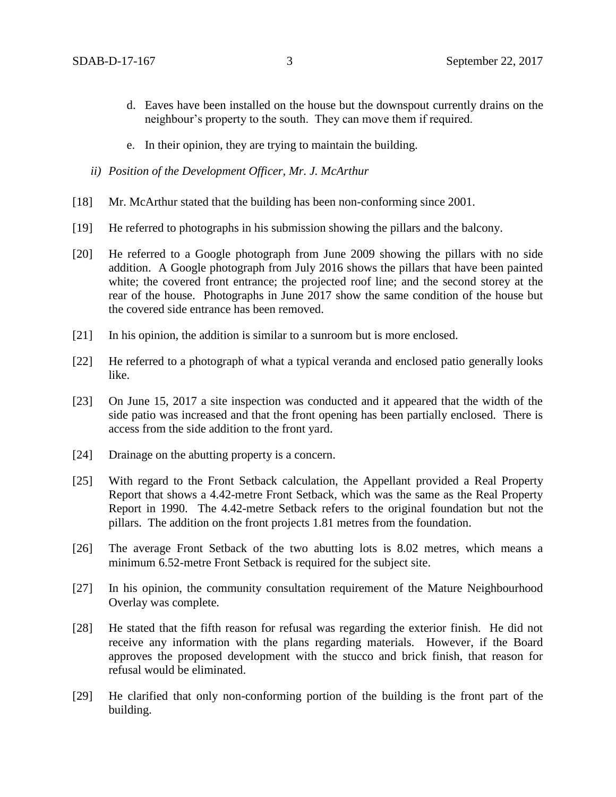- d. Eaves have been installed on the house but the downspout currently drains on the neighbour's property to the south. They can move them if required.
- e. In their opinion, they are trying to maintain the building.
- *ii) Position of the Development Officer, Mr. J. McArthur*
- [18] Mr. McArthur stated that the building has been non-conforming since 2001.
- [19] He referred to photographs in his submission showing the pillars and the balcony.
- [20] He referred to a Google photograph from June 2009 showing the pillars with no side addition. A Google photograph from July 2016 shows the pillars that have been painted white; the covered front entrance; the projected roof line; and the second storey at the rear of the house. Photographs in June 2017 show the same condition of the house but the covered side entrance has been removed.
- [21] In his opinion, the addition is similar to a sunroom but is more enclosed.
- [22] He referred to a photograph of what a typical veranda and enclosed patio generally looks like.
- [23] On June 15, 2017 a site inspection was conducted and it appeared that the width of the side patio was increased and that the front opening has been partially enclosed. There is access from the side addition to the front yard.
- [24] Drainage on the abutting property is a concern.
- [25] With regard to the Front Setback calculation, the Appellant provided a Real Property Report that shows a 4.42-metre Front Setback, which was the same as the Real Property Report in 1990. The 4.42-metre Setback refers to the original foundation but not the pillars. The addition on the front projects 1.81 metres from the foundation.
- [26] The average Front Setback of the two abutting lots is 8.02 metres, which means a minimum 6.52-metre Front Setback is required for the subject site.
- [27] In his opinion, the community consultation requirement of the Mature Neighbourhood Overlay was complete.
- [28] He stated that the fifth reason for refusal was regarding the exterior finish. He did not receive any information with the plans regarding materials. However, if the Board approves the proposed development with the stucco and brick finish, that reason for refusal would be eliminated.
- [29] He clarified that only non-conforming portion of the building is the front part of the building.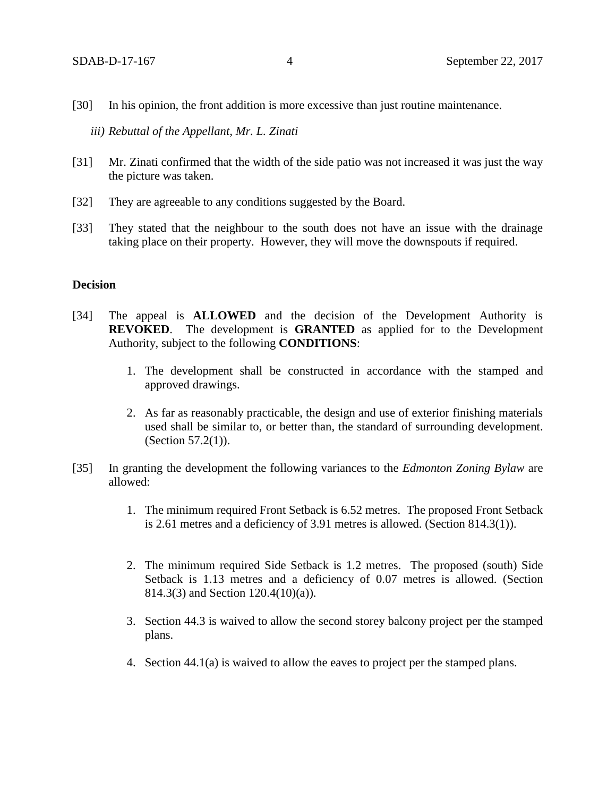[30] In his opinion, the front addition is more excessive than just routine maintenance.

*iii) Rebuttal of the Appellant, Mr. L. Zinati* 

- [31] Mr. Zinati confirmed that the width of the side patio was not increased it was just the way the picture was taken.
- [32] They are agreeable to any conditions suggested by the Board.
- [33] They stated that the neighbour to the south does not have an issue with the drainage taking place on their property. However, they will move the downspouts if required.

#### **Decision**

- [34] The appeal is **ALLOWED** and the decision of the Development Authority is **REVOKED**. The development is **GRANTED** as applied for to the Development Authority, subject to the following **CONDITIONS**:
	- 1. The development shall be constructed in accordance with the stamped and approved drawings.
	- 2. As far as reasonably practicable, the design and use of exterior finishing materials used shall be similar to, or better than, the standard of surrounding development. (Section 57.2(1)).
- [35] In granting the development the following variances to the *Edmonton Zoning Bylaw* are allowed:
	- 1. The minimum required Front Setback is 6.52 metres. The proposed Front Setback is 2.61 metres and a deficiency of 3.91 metres is allowed. (Section 814.3(1)).
	- 2. The minimum required Side Setback is 1.2 metres. The proposed (south) Side Setback is 1.13 metres and a deficiency of 0.07 metres is allowed. (Section 814.3(3) and Section 120.4(10)(a)).
	- 3. Section 44.3 is waived to allow the second storey balcony project per the stamped plans.
	- 4. Section 44.1(a) is waived to allow the eaves to project per the stamped plans.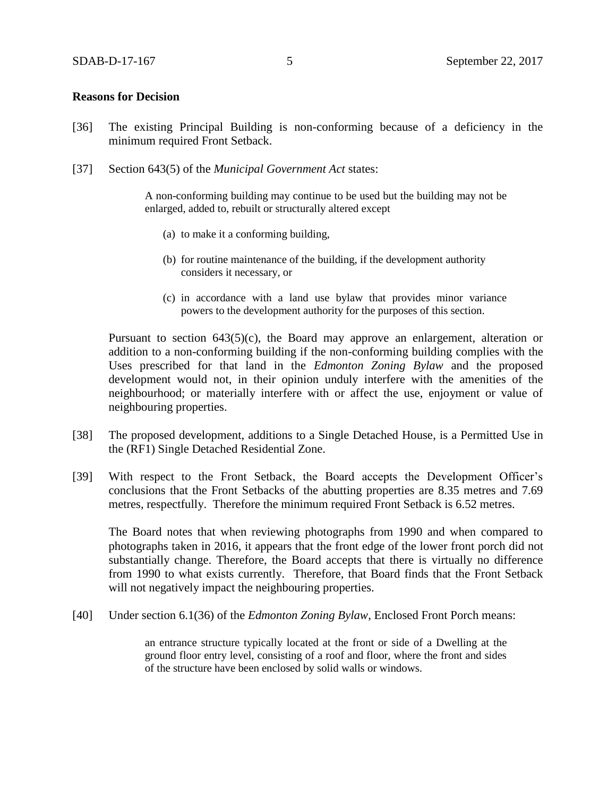### **Reasons for Decision**

- [36] The existing Principal Building is non-conforming because of a deficiency in the minimum required Front Setback.
- [37] Section 643(5) of the *Municipal Government Act* states:

A non-conforming building may continue to be used but the building may not be enlarged, added to, rebuilt or structurally altered except

- (a) to make it a conforming building,
- (b) for routine maintenance of the building, if the development authority considers it necessary, or
- (c) in accordance with a land use bylaw that provides minor variance powers to the development authority for the purposes of this section.

Pursuant to section  $643(5)(c)$ , the Board may approve an enlargement, alteration or addition to a non-conforming building if the non-conforming building complies with the Uses prescribed for that land in the *Edmonton Zoning Bylaw* and the proposed development would not, in their opinion unduly interfere with the amenities of the neighbourhood; or materially interfere with or affect the use, enjoyment or value of neighbouring properties.

- [38] The proposed development, additions to a Single Detached House, is a Permitted Use in the (RF1) Single Detached Residential Zone.
- [39] With respect to the Front Setback, the Board accepts the Development Officer's conclusions that the Front Setbacks of the abutting properties are 8.35 metres and 7.69 metres, respectfully. Therefore the minimum required Front Setback is 6.52 metres.

The Board notes that when reviewing photographs from 1990 and when compared to photographs taken in 2016, it appears that the front edge of the lower front porch did not substantially change. Therefore, the Board accepts that there is virtually no difference from 1990 to what exists currently. Therefore, that Board finds that the Front Setback will not negatively impact the neighbouring properties.

[40] Under section 6.1(36) of the *Edmonton Zoning Bylaw*, Enclosed Front Porch means:

an entrance structure typically located at the front or side of a Dwelling at the ground floor entry level, consisting of a roof and floor, where the front and sides of the structure have been enclosed by solid walls or windows.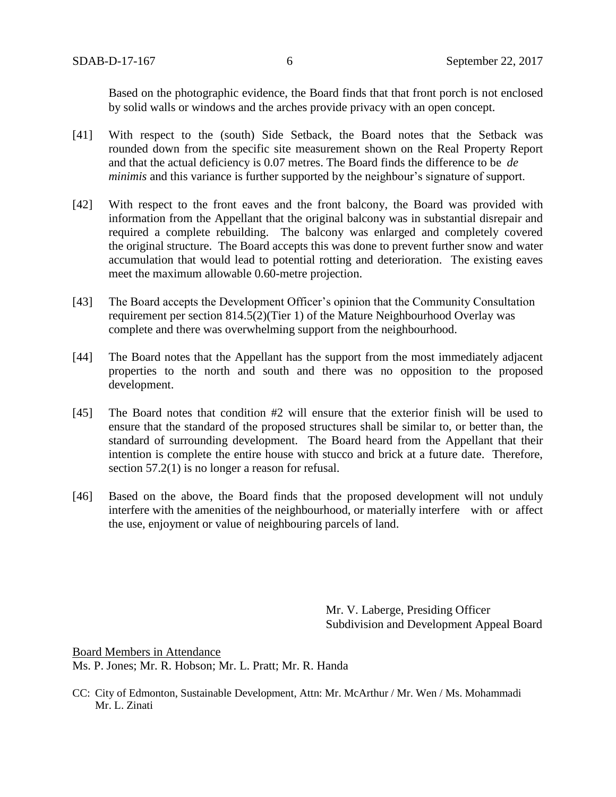Based on the photographic evidence, the Board finds that that front porch is not enclosed by solid walls or windows and the arches provide privacy with an open concept.

- [41] With respect to the (south) Side Setback, the Board notes that the Setback was rounded down from the specific site measurement shown on the Real Property Report and that the actual deficiency is 0.07 metres. The Board finds the difference to be *de minimis* and this variance is further supported by the neighbour's signature of support.
- [42] With respect to the front eaves and the front balcony, the Board was provided with information from the Appellant that the original balcony was in substantial disrepair and required a complete rebuilding. The balcony was enlarged and completely covered the original structure. The Board accepts this was done to prevent further snow and water accumulation that would lead to potential rotting and deterioration. The existing eaves meet the maximum allowable 0.60-metre projection.
- [43] The Board accepts the Development Officer's opinion that the Community Consultation requirement per section 814.5(2)(Tier 1) of the Mature Neighbourhood Overlay was complete and there was overwhelming support from the neighbourhood.
- [44] The Board notes that the Appellant has the support from the most immediately adjacent properties to the north and south and there was no opposition to the proposed development.
- [45] The Board notes that condition #2 will ensure that the exterior finish will be used to ensure that the standard of the proposed structures shall be similar to, or better than, the standard of surrounding development. The Board heard from the Appellant that their intention is complete the entire house with stucco and brick at a future date. Therefore, section 57.2(1) is no longer a reason for refusal.
- [46] Based on the above, the Board finds that the proposed development will not unduly interfere with the amenities of the neighbourhood, or materially interfere with or affect the use, enjoyment or value of neighbouring parcels of land.

Mr. V. Laberge, Presiding Officer Subdivision and Development Appeal Board

Board Members in Attendance Ms. P. Jones; Mr. R. Hobson; Mr. L. Pratt; Mr. R. Handa

CC: City of Edmonton, Sustainable Development, Attn: Mr. McArthur / Mr. Wen / Ms. Mohammadi Mr. L. Zinati